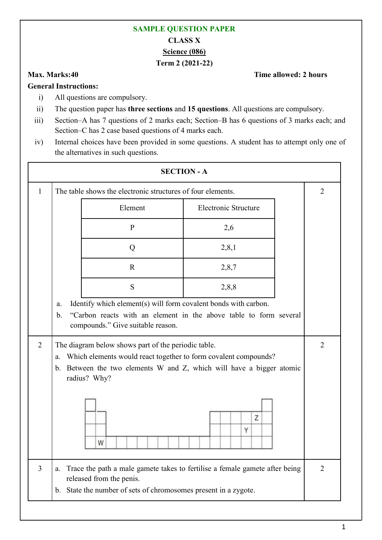## **SAMPLE QUESTION PAPER CLASS X Science (086) Term 2 (2021-22)**

## **Max. Marks:40 Time allowed: 2 hours**

## **General Instructions:**

- i) All questions are compulsory.
- ii) The question paper has **three sections** and **15 questions**. All questions are compulsory.
- iii) Section–A has 7 questions of 2 marks each; Section–B has 6 questions of 3 marks each; and Section–C has 2 case based questions of 4 marks each.
- iv) Internal choices have been provided in some questions. A student has to attempt only one of the alternatives in such questions.

| <b>SECTION - A</b> |                     |                                                                                                                                             |                                                                             |                |  |  |
|--------------------|---------------------|---------------------------------------------------------------------------------------------------------------------------------------------|-----------------------------------------------------------------------------|----------------|--|--|
| 1                  |                     | The table shows the electronic structures of four elements.                                                                                 |                                                                             |                |  |  |
|                    |                     | Element                                                                                                                                     | Electronic Structure                                                        |                |  |  |
|                    |                     | $\mathbf{P}$                                                                                                                                | 2,6                                                                         |                |  |  |
|                    |                     | Q                                                                                                                                           | 2,8,1                                                                       |                |  |  |
|                    |                     | $\mathbf R$                                                                                                                                 | 2,8,7                                                                       |                |  |  |
|                    |                     | S                                                                                                                                           | 2,8,8                                                                       |                |  |  |
|                    | a.<br>$\mathbf b$ . | Identify which element(s) will form covalent bonds with carbon.<br>compounds." Give suitable reason.                                        | "Carbon reacts with an element in the above table to form several           |                |  |  |
| 2                  | a.<br>$\mathbf b$ . | The diagram below shows part of the periodic table.<br>Which elements would react together to form covalent compounds?<br>radius? Why?<br>W | Between the two elements W and Z, which will have a bigger atomic<br>Z<br>Υ | $\overline{2}$ |  |  |
| $\overline{3}$     | a.                  | released from the penis.<br>b. State the number of sets of chromosomes present in a zygote.                                                 | Trace the path a male gamete takes to fertilise a female gamete after being | $\overline{2}$ |  |  |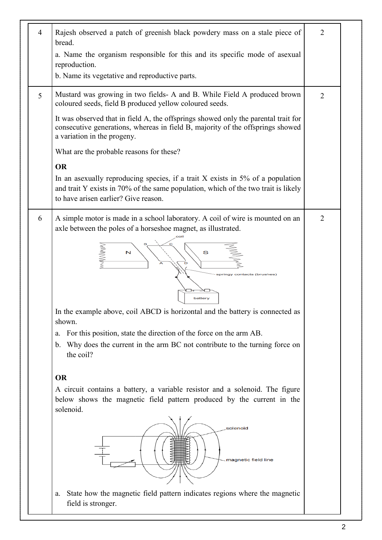| 4 | Rajesh observed a patch of greenish black powdery mass on a stale piece of<br>bread.<br>a. Name the organism responsible for this and its specific mode of asexual                                             | $\overline{2}$ |
|---|----------------------------------------------------------------------------------------------------------------------------------------------------------------------------------------------------------------|----------------|
|   | reproduction.<br>b. Name its vegetative and reproductive parts.                                                                                                                                                |                |
| 5 | Mustard was growing in two fields- A and B. While Field A produced brown<br>coloured seeds, field B produced yellow coloured seeds.                                                                            | $\overline{2}$ |
|   | It was observed that in field A, the offsprings showed only the parental trait for<br>consecutive generations, whereas in field B, majority of the offsprings showed<br>a variation in the progeny.            |                |
|   | What are the probable reasons for these?                                                                                                                                                                       |                |
|   | <b>OR</b>                                                                                                                                                                                                      |                |
|   | In an asexually reproducing species, if a trait $X$ exists in 5% of a population<br>and trait Y exists in 70% of the same population, which of the two trait is likely<br>to have arisen earlier? Give reason. |                |
| 6 | A simple motor is made in a school laboratory. A coil of wire is mounted on an<br>axle between the poles of a horseshoe magnet, as illustrated.                                                                | $\overline{2}$ |
|   | S<br>N<br>pringy contacts (brushes)                                                                                                                                                                            |                |
|   | battery<br>In the example above, coil ABCD is horizontal and the battery is connected as                                                                                                                       |                |
|   | shown.<br>For this position, state the direction of the force on the arm AB.                                                                                                                                   |                |
|   | a.<br>b. Why does the current in the arm BC not contribute to the turning force on<br>the coil?                                                                                                                |                |
|   | <b>OR</b>                                                                                                                                                                                                      |                |
|   | A circuit contains a battery, a variable resistor and a solenoid. The figure                                                                                                                                   |                |
|   | below shows the magnetic field pattern produced by the current in the<br>solenoid.                                                                                                                             |                |
|   | solenoid<br>magnetic field line                                                                                                                                                                                |                |
|   | State how the magnetic field pattern indicates regions where the magnetic<br>a.<br>field is stronger.                                                                                                          |                |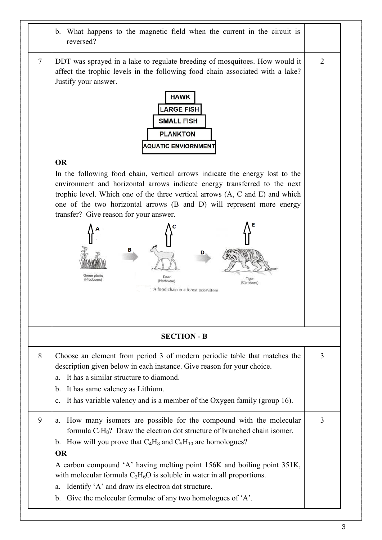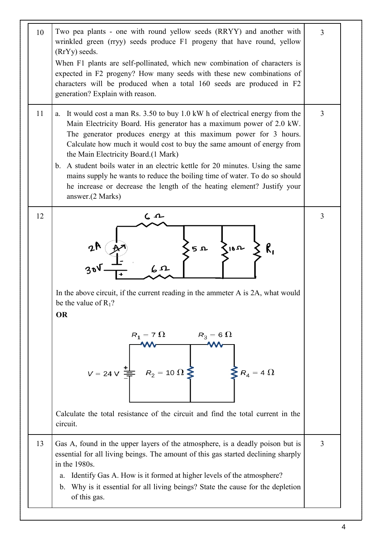| 10 | Two pea plants - one with round yellow seeds (RRYY) and another with<br>wrinkled green (rryy) seeds produce F1 progeny that have round, yellow<br>(RrYy) seeds.<br>When F1 plants are self-pollinated, which new combination of characters is<br>expected in F2 progeny? How many seeds with these new combinations of<br>characters will be produced when a total 160 seeds are produced in F2<br>generation? Explain with reason.                                                                                                                                                                         | 3              |
|----|-------------------------------------------------------------------------------------------------------------------------------------------------------------------------------------------------------------------------------------------------------------------------------------------------------------------------------------------------------------------------------------------------------------------------------------------------------------------------------------------------------------------------------------------------------------------------------------------------------------|----------------|
| 11 | It would cost a man Rs. 3.50 to buy 1.0 kW h of electrical energy from the<br>a.<br>Main Electricity Board. His generator has a maximum power of 2.0 kW.<br>The generator produces energy at this maximum power for 3 hours.<br>Calculate how much it would cost to buy the same amount of energy from<br>the Main Electricity Board.(1 Mark)<br>b. A student boils water in an electric kettle for 20 minutes. Using the same<br>mains supply he wants to reduce the boiling time of water. To do so should<br>he increase or decrease the length of the heating element? Justify your<br>answer.(2 Marks) | $\overline{3}$ |
| 12 | $\zeta$ 10 $\upsilon$<br>5 n<br>6r<br>In the above circuit, if the current reading in the ammeter A is 2A, what would<br>be the value of $R_1$ ?<br><b>OR</b><br>$R_1 = 7 \Omega$<br>$R_3 = 6 \Omega$<br>$R_2 = 10 \Omega$<br>$V = 24 V =$<br>$\sum R_4 = 4 \Omega$<br>Calculate the total resistance of the circuit and find the total current in the<br>circuit.                                                                                                                                                                                                                                          | $\overline{3}$ |
| 13 | Gas A, found in the upper layers of the atmosphere, is a deadly poison but is<br>essential for all living beings. The amount of this gas started declining sharply<br>in the 1980s.<br>Identify Gas A. How is it formed at higher levels of the atmosphere?<br>a.<br>Why is it essential for all living beings? State the cause for the depletion<br>$\mathbf{b}$ .<br>of this gas.                                                                                                                                                                                                                         | $\overline{3}$ |